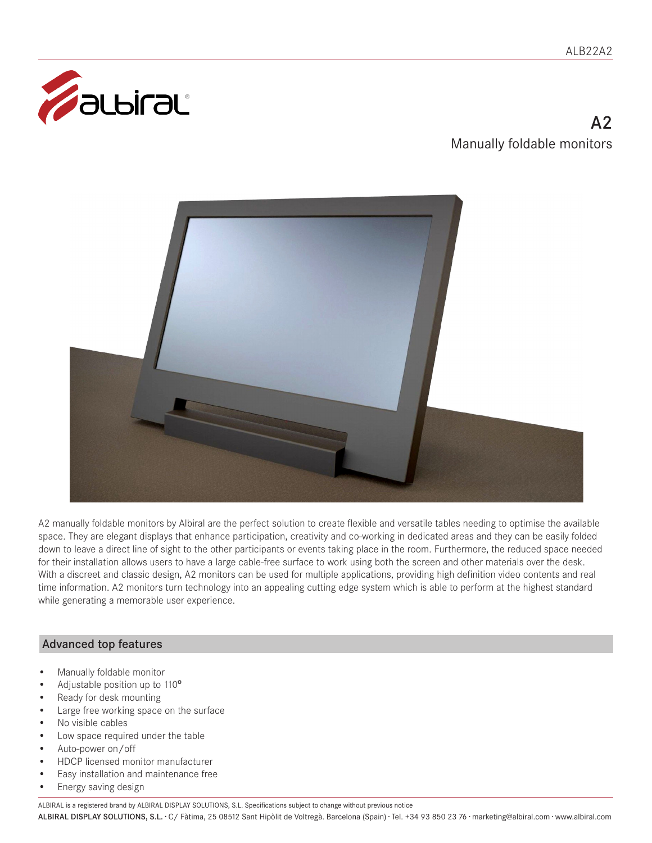

# $\Delta$ Manually foldable monitors



A2 manually foldable monitors by Albiral are the perfect solution to create flexible and versatile tables needing to optimise the available space. They are elegant displays that enhance participation, creativity and co-working in dedicated areas and they can be easily folded down to leave a direct line of sight to the other participants or events taking place in the room. Furthermore, the reduced space needed for their installation allows users to have a large cable-free surface to work using both the screen and other materials over the desk. With a discreet and classic design, A2 monitors can be used for multiple applications, providing high definition video contents and real time information. A2 monitors turn technology into an appealing cutting edge system which is able to perform at the highest standard while generating a memorable user experience.

# Advanced top features

- Manually foldable monitor
- Adjustable position up to 110º
- Ready for desk mounting
- Large free working space on the surface
- No visible cables
- Low space required under the table
- Auto-power on/off
- HDCP licensed monitor manufacturer
- Easy installation and maintenance free
- Energy saving design

ALBIRAL is a registered brand by ALBIRAL DISPLAY SOLUTIONS, S.L. Specifications subject to change without previous notice

ALBIRAL DISPLAY SOLUTIONS, S.L. · C/ Fàtima, 25 08512 Sant Hipòlit de Voltregà. Barcelona (Spain) · Tel. +34 93 850 23 76 · marketing@albiral.com · www.albiral.com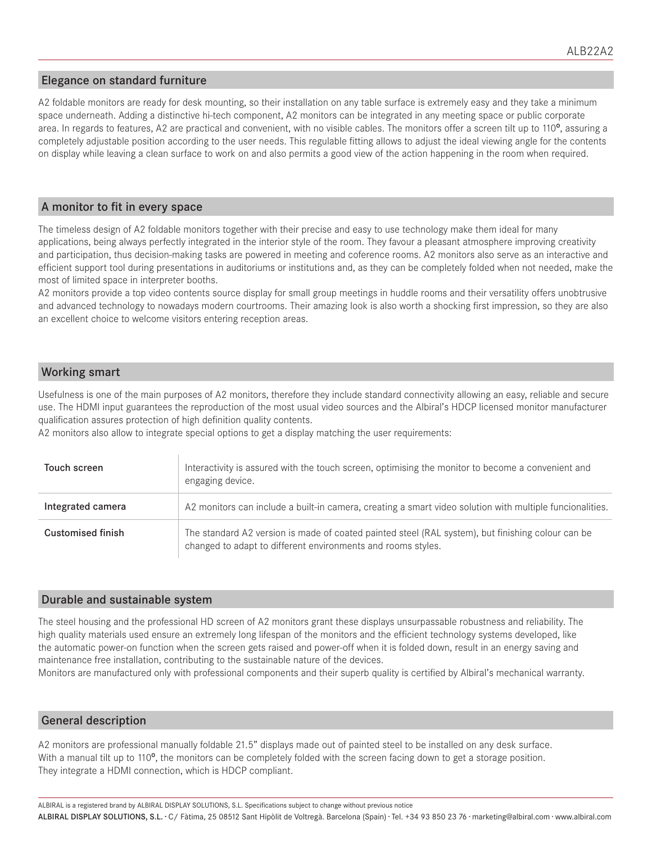## Elegance on standard furniture

A2 foldable monitors are ready for desk mounting, so their installation on any table surface is extremely easy and they take a minimum space underneath. Adding a distinctive hi-tech component, A2 monitors can be integrated in any meeting space or public corporate area. In regards to features, A2 are practical and convenient, with no visible cables. The monitors offer a screen tilt up to 110<sup>o</sup>, assuring a completely adjustable position according to the user needs. This regulable fitting allows to adjust the ideal viewing angle for the contents on display while leaving a clean surface to work on and also permits a good view of the action happening in the room when required.

#### A monitor to fit in every space

The timeless design of A2 foldable monitors together with their precise and easy to use technology make them ideal for many applications, being always perfectly integrated in the interior style of the room. They favour a pleasant atmosphere improving creativity and participation, thus decision-making tasks are powered in meeting and coference rooms. A2 monitors also serve as an interactive and efficient support tool during presentations in auditoriums or institutions and, as they can be completely folded when not needed, make the most of limited space in interpreter booths.

A2 monitors provide a top video contents source display for small group meetings in huddle rooms and their versatility offers unobtrusive and advanced technology to nowadays modern courtrooms. Their amazing look is also worth a shocking first impression, so they are also an excellent choice to welcome visitors entering reception areas.

## Working smart

Usefulness is one of the main purposes of A2 monitors, therefore they include standard connectivity allowing an easy, reliable and secure use. The HDMI input guarantees the reproduction of the most usual video sources and the Albiral's HDCP licensed monitor manufacturer qualification assures protection of high definition quality contents.

A2 monitors also allow to integrate special options to get a display matching the user requirements:

| Touch screen             | Interactivity is assured with the touch screen, optimising the monitor to become a convenient and<br>engaging device.                                             |
|--------------------------|-------------------------------------------------------------------------------------------------------------------------------------------------------------------|
| Integrated camera        | A2 monitors can include a built-in camera, creating a smart video solution with multiple funcionalities.                                                          |
| <b>Customised finish</b> | The standard A2 version is made of coated painted steel (RAL system), but finishing colour can be<br>changed to adapt to different environments and rooms styles. |

#### Durable and sustainable system

The steel housing and the professional HD screen of A2 monitors grant these displays unsurpassable robustness and reliability. The high quality materials used ensure an extremely long lifespan of the monitors and the efficient technology systems developed, like the automatic power-on function when the screen gets raised and power-off when it is folded down, result in an energy saving and maintenance free installation, contributing to the sustainable nature of the devices.

Monitors are manufactured only with professional components and their superb quality is certified by Albiral's mechanical warranty.

## General description

A2 monitors are professional manually foldable 21.5" displays made out of painted steel to be installed on any desk surface. With a manual tilt up to 110<sup>o</sup>, the monitors can be completely folded with the screen facing down to get a storage position. They integrate a HDMI connection, which is HDCP compliant.

ALBIRAL DISPLAY SOLUTIONS, S.L. · C/ Fàtima, 25 08512 Sant Hipòlit de Voltregà. Barcelona (Spain) · Tel. +34 93 850 23 76 · marketing@albiral.com · www.albiral.com ALBIRAL is a registered brand by ALBIRAL DISPLAY SOLUTIONS, S.L. Specifications subject to change without previous notice